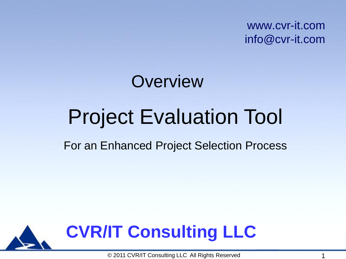www.cvr-it.com info@cvr-it.com

# Project Evaluation Tool **Overview**

#### For an Enhanced Project Selection Process



© 2011 CVR/IT Consulting LLC All Rights Reserved 1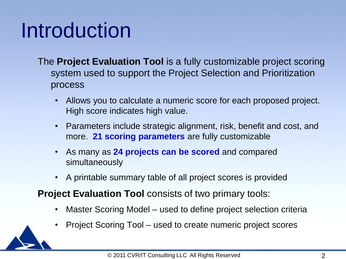## Introduction

- The **Project Evaluation Tool** is a fully customizable project scoring system used to support the Project Selection and Prioritization process
	- Allows you to calculate a numeric score for each proposed project. High score indicates high value.
	- Parameters include strategic alignment, risk, benefit and cost, and more. **21 scoring parameters** are fully customizable
	- As many as **24 projects can be scored** and compared simultaneously
	- A printable summary table of all project scores is provided
- **Project Evaluation Tool** consists of two primary tools:
	- Master Scoring Model used to define project selection criteria
	- Project Scoring Tool used to create numeric project scores

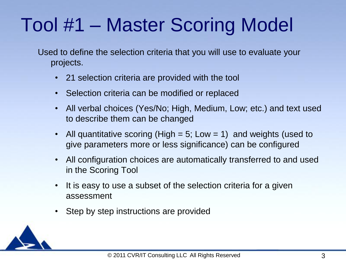#### Tool #1 – Master Scoring Model

Used to define the selection criteria that you will use to evaluate your projects.

- 21 selection criteria are provided with the tool
- Selection criteria can be modified or replaced
- All verbal choices (Yes/No; High, Medium, Low; etc.) and text used to describe them can be changed
- All quantitative scoring (High  $= 5$ ; Low  $= 1$ ) and weights (used to give parameters more or less significance) can be configured
- All configuration choices are automatically transferred to and used in the Scoring Tool
- It is easy to use a subset of the selection criteria for a given assessment
- Step by step instructions are provided

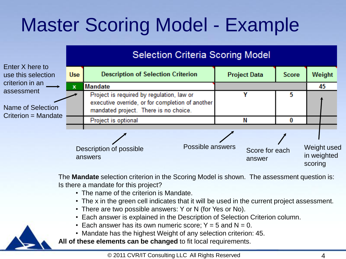## Master Scoring Model - Example



The **Mandate** selection criterion in the Scoring Model is shown. The assessment question is: Is there a mandate for this project?

- The name of the criterion is Mandate.
- The x in the green cell indicates that it will be used in the current project assessment.
- There are two possible answers: Y or N (for Yes or No).
- Each answer is explained in the Description of Selection Criterion column.
- Each answer has its own numeric score;  $Y = 5$  and  $N = 0$ .
- Mandate has the highest Weight of any selection criterion: 45.

**All of these elements can be changed** to fit local requirements.

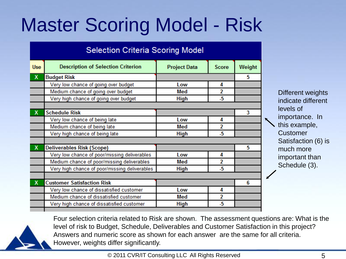#### Master Scoring Model - Risk

| <b>Selection Criteria Scoring Model</b>       |                     |        |                    |   |  |  |  |  |  |  |  |  |
|-----------------------------------------------|---------------------|--------|--------------------|---|--|--|--|--|--|--|--|--|
| <b>Description of Selection Criterion</b>     | <b>Project Data</b> | Weight |                    |   |  |  |  |  |  |  |  |  |
| <b>Budget Risk</b>                            |                     |        | 5                  |   |  |  |  |  |  |  |  |  |
| Very low chance of going over budget          | Low                 | 4      |                    |   |  |  |  |  |  |  |  |  |
| Medium chance of going over budget            | Med                 | 2      |                    |   |  |  |  |  |  |  |  |  |
| Very high chance of going over budget         | High                | -5     |                    |   |  |  |  |  |  |  |  |  |
|                                               |                     |        |                    |   |  |  |  |  |  |  |  |  |
| <b>Schedule Risk</b>                          |                     |        |                    |   |  |  |  |  |  |  |  |  |
| Very low chance of being late                 | Low                 | 4      |                    | × |  |  |  |  |  |  |  |  |
| Medium chance of being late                   | Med                 | 2      |                    |   |  |  |  |  |  |  |  |  |
| Very high chance of being late                | <b>High</b>         |        |                    |   |  |  |  |  |  |  |  |  |
|                                               |                     |        |                    |   |  |  |  |  |  |  |  |  |
| <b>Deliverables Risk (Scope)</b>              |                     |        | 5                  |   |  |  |  |  |  |  |  |  |
| Very low chance of poor/missing deliverables  | Low                 | 4      |                    |   |  |  |  |  |  |  |  |  |
| Medium chance of poor/missing deliverables    | Med                 | 2      |                    |   |  |  |  |  |  |  |  |  |
| Very high chance of poor/missing deliverables | <b>High</b>         | -5     |                    |   |  |  |  |  |  |  |  |  |
|                                               |                     |        |                    |   |  |  |  |  |  |  |  |  |
| <b>Customer Satisfaction Risk</b>             |                     |        | 6                  |   |  |  |  |  |  |  |  |  |
| Very low chance of dissatisfied customer      | Low                 | 4      |                    |   |  |  |  |  |  |  |  |  |
| Medium chance of dissatisfied customer        | Med                 | 2      |                    |   |  |  |  |  |  |  |  |  |
| Very high chance of dissatisfied customer     | <b>High</b>         | -5     |                    |   |  |  |  |  |  |  |  |  |
|                                               |                     |        | <b>Score</b><br>-5 | 3 |  |  |  |  |  |  |  |  |

Different weights indicate different levels of importance. In  $\sum$  this example. **Customer** Satisfaction (6) is much more important than Schedule (3).



Four selection criteria related to Risk are shown. The assessment questions are: What is the level of risk to Budget, Schedule, Deliverables and Customer Satisfaction in this project? Answers and numeric score as shown for each answer are the same for all criteria. However, weights differ significantly.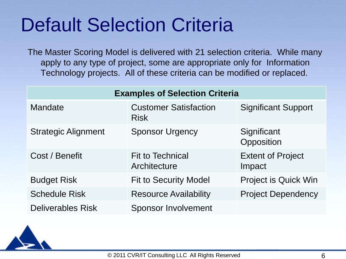#### Default Selection Criteria

The Master Scoring Model is delivered with 21 selection criteria. While many apply to any type of project, some are appropriate only for Information Technology projects. All of these criteria can be modified or replaced.

| <b>Examples of Selection Criteria</b> |                                             |                                    |  |  |  |  |  |  |  |  |  |
|---------------------------------------|---------------------------------------------|------------------------------------|--|--|--|--|--|--|--|--|--|
| Mandate                               | <b>Customer Satisfaction</b><br><b>Risk</b> | <b>Significant Support</b>         |  |  |  |  |  |  |  |  |  |
| <b>Strategic Alignment</b>            | <b>Sponsor Urgency</b>                      | Significant<br>Opposition          |  |  |  |  |  |  |  |  |  |
| Cost / Benefit                        | <b>Fit to Technical</b><br>Architecture     | <b>Extent of Project</b><br>Impact |  |  |  |  |  |  |  |  |  |
| <b>Budget Risk</b>                    | <b>Fit to Security Model</b>                | <b>Project is Quick Win</b>        |  |  |  |  |  |  |  |  |  |
| <b>Schedule Risk</b>                  | <b>Resource Availability</b>                | <b>Project Dependency</b>          |  |  |  |  |  |  |  |  |  |
| <b>Deliverables Risk</b>              | <b>Sponsor Involvement</b>                  |                                    |  |  |  |  |  |  |  |  |  |

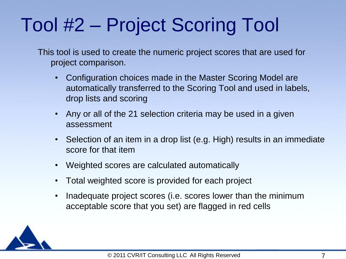#### Tool #2 – Project Scoring Tool

This tool is used to create the numeric project scores that are used for project comparison.

- Configuration choices made in the Master Scoring Model are automatically transferred to the Scoring Tool and used in labels, drop lists and scoring
- Any or all of the 21 selection criteria may be used in a given assessment
- Selection of an item in a drop list (e.g. High) results in an immediate score for that item
- Weighted scores are calculated automatically
- Total weighted score is provided for each project
- Inadequate project scores (i.e. scores lower than the minimum acceptable score that you set) are flagged in red cells

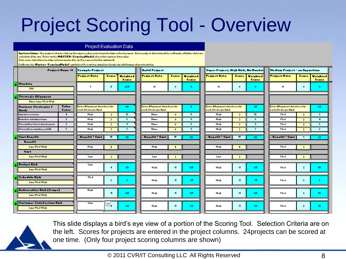#### Project Scoring Tool - Overview

#### **Project Evaluation Data**

| <b>Instructions:</b> Uroprajoct charter data arthoraurce when entering relection criteria rapra. Enterprajoct data inta white cellranly; all ather data are |
|-------------------------------------------------------------------------------------------------------------------------------------------------------------|
| <b>Colculated for you. Refer to the MASTER-Scaring Made I sheet for scaring-data rules.</b>                                                                 |
| $\,$ Only enter data farxelection criteria marked by an $8$ in a areen field in column A. $\,$                                                              |

Calibrate the Marter-ScaringMadel warkrheet by rearing completed projectr with known characteristics.

| Praject Name ⇒                                                       | Example Project                                      |                         | <b>Auful Praject</b><br>Super Praject, High Rick, Na Mandat |                                                            |                                   |                                                             |   |                     |                                                      |                                | Hedium Project - an Opporition |                |                                 |  |  |
|----------------------------------------------------------------------|------------------------------------------------------|-------------------------|-------------------------------------------------------------|------------------------------------------------------------|-----------------------------------|-------------------------------------------------------------|---|---------------------|------------------------------------------------------|--------------------------------|--------------------------------|----------------|---------------------------------|--|--|
|                                                                      | Project Date                                         | Scare                   | <b>Mainhead</b><br><b>Scare</b>                             | Project Date                                               | <b>Scare</b><br>Mainhead<br>Scare |                                                             |   | <b>Project Data</b> |                                                      | Scare Waighted<br><b>Scare</b> | <b>Project Data</b>            | <b>Scare</b>   | <b>Mainbook</b><br><b>Scare</b> |  |  |
| <b>Handata</b><br><b>YAN</b>                                         | Y                                                    | 5                       | 225                                                         | н                                                          | 0<br>û                            |                                                             | н | $\theta$            | 0.                                                   | н                              | $\theta$                       | $\bullet$      |                                 |  |  |
| Stratogic Alignmont<br>Nano-Law-Mod-High                             |                                                      |                         |                                                             |                                                            |                                   |                                                             |   |                     |                                                      |                                |                                |                |                                 |  |  |
| <b>Tales</b><br>Burinars Stratagias F<br>$S_{\text{corr}*}$<br>Guatr | Enter Alignment data here for<br>oach Stratogic Gaal |                         | 90                                                          | Enter Alignment data here for<br>Ω.<br>each Strategic Goal |                                   | Enter Alignment data here for<br>90.<br>aach Stratagic Goal |   |                     | Enter Alignment data here for<br>pach Stratogic Goal |                                | 60                             |                |                                 |  |  |
| Improverevenue :<br>$\blacktriangleleft$                             | High                                                 | $\mathbf{B}$            | 12 <sup>2</sup>                                             | None                                                       | $\bullet$                         | ο.                                                          |   | High                | $\overline{\mathbf{3}}$                              | 12 <sup>2</sup>                | Med                            | $\mathbf{z}$   | . ≉                             |  |  |
| z.<br>  Braadon curtamor baro                                        | High                                                 | $\overline{\mathbf{3}}$ | -61                                                         | None                                                       | $\bullet$                         | $\mathbf{0}$                                                |   | High                | $\overline{\mathbf{3}}$                              | 6.                             | Med                            | $\overline{z}$ | $\blacktriangleleft$            |  |  |
| 3<br>Stroamlino internal pracezzez                                   | High                                                 | $\mathbf{B}$            | 9.                                                          | None                                                       | $\bullet$                         | $\mathbf{0}$                                                |   | High                | 3                                                    | ٠                              | Med                            | $\mathbf{z}$   | -61                             |  |  |
| Strongthon omplayooxkillr<br>$\mathbf{1}$                            | High                                                 | $\mathbf{B}$            | з.                                                          | Nane                                                       | $\mathbf{0}$                      | $\bullet$                                                   |   | High                | $\overline{3}$                                       | 3.                             | Med                            | $\mathbf{z}$   | $\mathbf{z}$                    |  |  |
| <b>Cart Benefit</b>                                                  | Bonofit " Cart                                       | 15                      | 90                                                          | Bonofit " Cart                                             | 15                                | 90                                                          |   | Bonofit " Cart      | 15                                                   | 90                             | Benefit " Cart                 |                | 36                              |  |  |
| <b>Banafit</b><br>Low-Mad-High<br>Cart                               | High                                                 | 5                       |                                                             | High                                                       | 5                                 |                                                             |   | High                | 5                                                    |                                | Med                            | 3              |                                 |  |  |
| Low-Mad-High                                                         | Lou                                                  | 3                       |                                                             | Lou                                                        | $\overline{\mathbf{3}}$           |                                                             |   | Lou                 | 3                                                    |                                | Med                            | $\mathbf{z}$   |                                 |  |  |
| <b>Budget Rirk</b><br>Low-Mad-High                                   | Lou                                                  | đ                       | 20                                                          | High                                                       | -5                                | $-25$                                                       |   | High                | $-5$                                                 | $-25$                          | Med                            | 2              | 10                              |  |  |
| Schedule Rirk<br>Low-Mad-High                                        | Med                                                  | z.                      | -61                                                         | High                                                       | -5                                | $-15$                                                       |   | High                | -5                                                   | $-15$                          | Med                            | 2              |                                 |  |  |
| Deliverables Rick (Scape)<br>Low-Mad-High                            | High                                                 | -5                      | $-25$                                                       | High                                                       | -5                                | $-25$                                                       |   | High                | $-5$                                                 | $-25$                          | Med                            | $\mathbf{z}$   | 10                              |  |  |
| <b>Curtaner Setirfection Rirk</b><br>Low-Mad-High                    | Lou                                                  | ÷                       | 24                                                          | High                                                       | -5                                | $-30.$                                                      |   | High                | $-5$                                                 | $-30.$                         | Med                            | $\mathbf{z}$   | 12                              |  |  |



This slide displays a bird's eye view of a portion of the Scoring Tool. Selection Criteria are on the left. Scores for projects are entered in the project columns. 24projects can be scored at one time. (Only four project scoring columns are shown)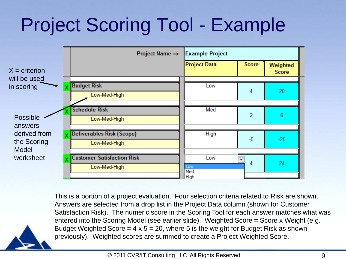### Project Scoring Tool - Example



This is a portion of a project evaluation. Four selection criteria related to Risk are shown. Answers are selected from a drop list in the Project Data column (shown for Customer Satisfaction Risk). The numeric score in the Scoring Tool for each answer matches what was entered into the Scoring Model (see earlier slide). Weighted Score = Score x Weight (e.g. Budget Weighted Score =  $4 \times 5 = 20$ , where 5 is the weight for Budget Risk as shown previously). Weighted scores are summed to create a Project Weighted Score.

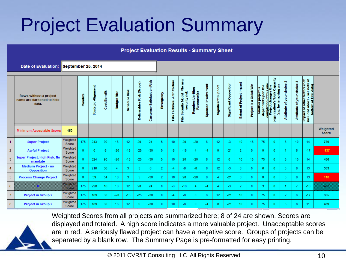#### Project Evaluation Summary

|                | <b>Project Evaluation Results - Summary Sheet</b>            |                   |              |                     |              |                    |                  |                           |                                   |              |                             |                                                     |                                             |                        |                     |                               |                                 |                              |                                          |                                                                                                             |                                  |                                  |                                                                                                                              |                   |
|----------------|--------------------------------------------------------------|-------------------|--------------|---------------------|--------------|--------------------|------------------|---------------------------|-----------------------------------|--------------|-----------------------------|-----------------------------------------------------|---------------------------------------------|------------------------|---------------------|-------------------------------|---------------------------------|------------------------------|------------------------------------------|-------------------------------------------------------------------------------------------------------------|----------------------------------|----------------------------------|------------------------------------------------------------------------------------------------------------------------------|-------------------|
|                | Date of Evaluation: September 25, 2014                       |                   |              |                     |              |                    |                  |                           |                                   |              |                             |                                                     |                                             |                        |                     |                               |                                 |                              |                                          |                                                                                                             |                                  |                                  |                                                                                                                              |                   |
|                | Rows without a project<br>name are darkened to hide<br>data. |                   | Mandate      | Strategic Alignment | Cost Benefit | <b>Budget Risk</b> | Schedule Risk    | Deliverables Risk (Scope) | <b>Customer Satisfaction Risk</b> | Emergency    | Fits Technical Architecture | new<br>å<br>security risk<br>Model<br>Security<br>뿉 | Limiting<br>Requires Limitin<br>Resource(s) | Involvement<br>Sponsor | Significant Support | <b>Significant Opposition</b> | <b>Extent of Project Impact</b> | Quick Win<br>œ<br>Project is | dependent upon the<br>Another project is | Capacity<br>completion of this one<br>Project changes the<br>(e.g. by removing an<br>Work<br>organization's | Ν<br>of your choice<br>Attribute | ø<br>of your choice<br>Attribute | pact of other factors (not<br>luded above - see note at<br>bottom of Eval data)<br>other factors<br>Impact of<br>included al |                   |
|                | Minimum Acceptable Score:                                    | 150               |              |                     |              |                    |                  |                           |                                   |              |                             |                                                     |                                             |                        |                     |                               |                                 |                              |                                          |                                                                                                             |                                  |                                  |                                                                                                                              | Weighted<br>Score |
| 1              | <b>Super Project</b>                                         | Weighted<br>Score | 175          | 243                 | 90           | 16                 | 12               | 20                        | 24                                | 5            | 10                          | 20                                                  | $-20$                                       | 6                      | 12                  | -3.                           | 10                              | 15                           | 75                                       | $\mathbf{0}$                                                                                                | 5                                | 10 <sub>1</sub>                  | 14                                                                                                                           | 739               |
| $\overline{2}$ | <b>Awful Project</b>                                         | Weighted<br>Score |              | $\mathbf{0}$        | 6            | $-20$              | $-15$            | $-25$                     | $-30$                             | $\Omega$     | -8                          | -16                                                 | 4                                           | -4                     | $\Omega$            | $-21$                         | 2                               | 0                            | $\bf{0}$                                 | 0                                                                                                           |                                  | 6                                | $-17$                                                                                                                        | $-137$            |
| 3              | Super Project, High Risk, No<br>mandate                      | Weighted<br>Score | 0            | 324                 | 90           | $-20$              | $-15$            | $-25$                     | $-30$                             | 5            | 10                          | 20                                                  | $-20$                                       | 6                      | 12 <sub>2</sub>     | $\mathbf{0}$                  | 10                              | 15                           | 75                                       | $\mathbf{0}$                                                                                                | 5.                               | 10 <sub>1</sub>                  | 14                                                                                                                           | 486               |
| $\overline{4}$ | Medium Project - no<br>Opposition                            | Weighted<br>Score | $\mathbf{0}$ | 216                 | 36           | 4                  | 3.               | 5                         | 6                                 | 2            | $-4$                        | -8                                                  | $-8$                                        | 6                      | 12                  | -3.                           | 6                               | 0                            | 6                                        | $\mathbf{0}$                                                                                                | 3                                | -8                               | 13                                                                                                                           | 303               |
| 5              | <b>Process Change Project</b>                                | Weighted<br>Score | $\Omega$     | 39                  | 54           | 16                 | 3.               | 5                         | $-30$                             | 2            | 10                          | 20                                                  | $-20$                                       | 6                      | 4                   | $-21$                         | 6                               | 0                            | $\mathbf{0}$                             | 0                                                                                                           | 3                                | 8                                | 13                                                                                                                           | 118               |
| 6              |                                                              | negatur<br>---    | 175          | 228                 | 18           | 16                 | 12 <sub>12</sub> | 20                        | 24                                | $\mathbf{0}$ | $-8$                        | $-16$                                               | 4                                           | $-4$                   | 4                   | -3.                           | $\overline{2}$                  | 0                            | 3                                        | 0                                                                                                           |                                  | $\tau$                           | $-16$                                                                                                                        | 357               |
| $\mathbf{7}$   | <b>Project in Group 2</b>                                    | Weighted<br>Score | 175          | 189                 | 30           | $-20$              | $-15$            | $-25$                     | $-30$                             | $\mathbf{0}$ | $-4$                        | -8                                                  | $\mathbf{0}$                                | 6                      | 12                  | $-21$                         | 10                              | 0                            | 75                                       | $\mathbf{0}$                                                                                                | 2                                | 6                                | $-17$                                                                                                                        | 365               |
| 8              | <b>Project in Group 2</b>                                    | Weighted<br>Score | 175          | 189                 | 30           | 16                 | 12               | 5                         | $-30$                             | $\mathbf{0}$ | 10                          | $-8$                                                | 0                                           | -4                     | 8                   | $-21$                         | 10                              | 0                            | 75                                       | 0                                                                                                           | 3                                | 8                                | 11                                                                                                                           | 489               |

Weighted Scores from all projects are summarized here; 8 of 24 are shown. Scores are displayed and totaled. A high score indicates a more valuable project. Unacceptable scores are in red. A seriously flawed project can have a negative score. Groups of projects can be separated by a blank row. The Summary Page is pre-formatted for easy printing.

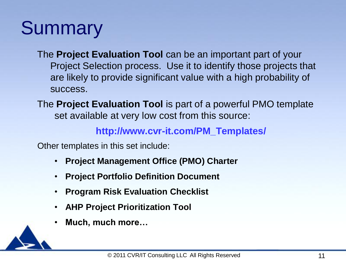#### **Summary**

The **Project Evaluation Tool** can be an important part of your Project Selection process. Use it to identify those projects that are likely to provide significant value with a high probability of success.

The **Project Evaluation Tool** is part of a powerful PMO template set available at very low cost from this source:

**http://www.cvr-it.com/PM\_Templates/**

Other templates in this set include:

- **Project Management Office (PMO) Charter**
- **Project Portfolio Definition Document**
- **Program Risk Evaluation Checklist**
- **AHP Project Prioritization Tool**
- **Much, much more…**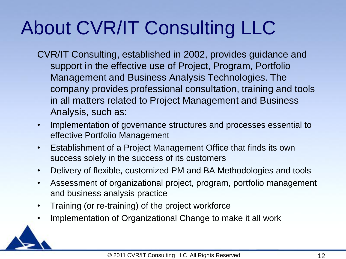### About CVR/IT Consulting LLC

- CVR/IT Consulting, established in 2002, provides guidance and support in the effective use of Project, Program, Portfolio Management and Business Analysis Technologies. The company provides professional consultation, training and tools in all matters related to Project Management and Business Analysis, such as:
- Implementation of governance structures and processes essential to effective Portfolio Management
- Establishment of a Project Management Office that finds its own success solely in the success of its customers
- Delivery of flexible, customized PM and BA Methodologies and tools
- Assessment of organizational project, program, portfolio management and business analysis practice
- Training (or re-training) of the project workforce
- Implementation of Organizational Change to make it all work